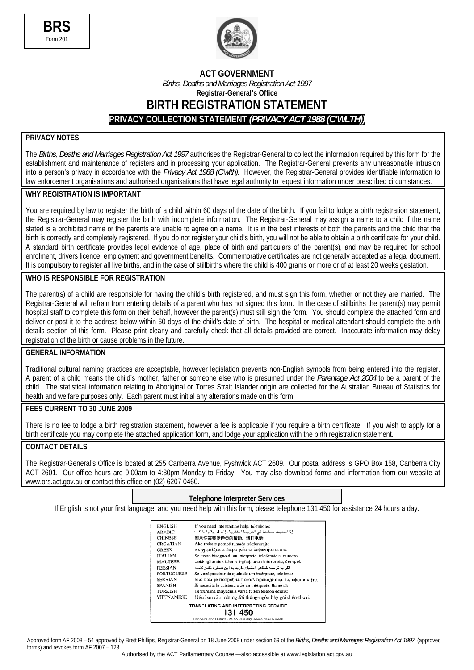



### **ACT GOVERNMENT**

*Births, Deaths and Marriages Registration Act 1997*  **Registrar-General's Office**

**BIRTH REGISTRATION STATEMENT** 

**PRIVACY COLLECTION STATEMENT** *(PRIVACY ACT 1988 (C'WLTH))*

## **PRIVACY NOTES**

The *Births, Deaths and Marriages Registration Act 1997* authorises the Registrar-General to collect the information required by this form for the establishment and maintenance of registers and in processing your application. The Registrar-General prevents any unreasonable intrusion into a person's privacy in accordance with the *Privacy Act 1988 (C'wlth).* However, the Registrar-General provides identifiable information to law enforcement organisations and authorised organisations that have legal authority to request information under prescribed circumstances.

#### **WHY REGISTRATION IS IMPORTANT**

You are required by law to register the birth of a child within 60 days of the date of the birth. If you fail to lodge a birth registration statement. the Registrar-General may register the birth with incomplete information. The Registrar-General may assign a name to a child if the name stated is a prohibited name or the parents are unable to agree on a name. It is in the best interests of both the parents and the child that the birth is correctly and completely registered. If you do not register your child's birth, you will not be able to obtain a birth certificate for your child. A standard birth certificate provides legal evidence of age, place of birth and particulars of the parent(s), and may be required for school enrolment, drivers licence, employment and government benefits. Commemorative certificates are not generally accepted as a legal document. It is compulsory to register all live births, and in the case of stillbirths where the child is 400 grams or more or of at least 20 weeks gestation.

#### **WHO IS RESPONSIBLE FOR REGISTRATION**

The parent(s) of a child are responsible for having the child's birth registered, and must sign this form, whether or not they are married. The Registrar-General will refrain from entering details of a parent who has not signed this form. In the case of stillbirths the parent(s) may permit hospital staff to complete this form on their behalf, however the parent(s) must still sign the form. You should complete the attached form and deliver or post it to the address below within 60 days of the child's date of birth. The hospital or medical attendant should complete the birth details section of this form. Please print clearly and carefully check that all details provided are correct. Inaccurate information may delay registration of the birth or cause problems in the future.

#### **GENERAL INFORMATION**

Traditional cultural naming practices are acceptable, however legislation prevents non-English symbols from being entered into the register. A parent of a child means the child's mother, father or someone else who is presumed under the *Parentage Act 2004* to be a parent of the child. The statistical information relating to Aboriginal or Torres Strait Islander origin are collected for the Australian Bureau of Statistics for health and welfare purposes only. Each parent must initial any alterations made on this form.

#### **FEES CURRENT TO 30 JUNE 2009**

There is no fee to lodge a birth registration statement, however a fee is applicable if you require a birth certificate. If you wish to apply for a birth certificate you may complete the attached application form, and lodge your application with the birth registration statement.

#### **CONTACT DETAILS**

The Registrar-General's Office is located at 255 Canberra Avenue, Fyshwick ACT 2609. Our postal address is GPO Box 158, Canberra City ACT 2601. Our office hours are 9:00am to 4:30pm Monday to Friday. You may also download forms and information from our website at www.ors.act.gov.au or contact this office on (02) 6207 0460.

#### **Telephone Interpreter Services**

If English is not your first language, and you need help with this form, please telephone 131 450 for assistance 24 hours a day.

| <b>ENGLISH</b>    | If you need interpreting help, telephone:                         |
|-------------------|-------------------------------------------------------------------|
| <b>ARABIC</b>     | إذا احتجت لساعدة في الترجمة الشفوية ، إتصل برقم الهاقف :          |
| <b>CHINESE</b>    | 如果你需要传译员的帮助,请打电话:                                                 |
| <b>CROATIAN</b>   | Ako trebate pomoć tumača telefonirajte:                           |
| <b>GREEK</b>      | Αν χρειάζεστε διερμηνέα τηλεφωνήσετε στο                          |
| <b>ITALIAN</b>    | Se avete bisogno di un interprete, telefonate al numero:          |
| <b>MALTESE</b>    | Jekk ghandek bżonn I-ghajnuna t'interpretu, cempel:               |
| <b>PERSIAN</b>    | اگر به ترجمه شفاهی احتیاج دارید به این شماره تلفن کنید:           |
| <b>PORTUGUESE</b> | Se você precisar da ajuda de um intérprete, telefone:             |
| <b>SERBIAN</b>    | Ако вам је потребна помоћ преводиоца телефонирајте:               |
| <b>SPANISH</b>    | Si necesita la asistencia de un intérprete, llame al:             |
| TURKISH           | Tercümana ihtiyacınız varsa lütfen telefon ediniz:                |
| <b>VIETNAMESE</b> | Nếu ban cần một người thông-ngôn hãy gọi điện-thoại:              |
|                   | TRANSLATING AND INTERPRETING SERVICE                              |
|                   | 131 450                                                           |
|                   | Chamberson and Districts. Out because a door norrow documentation |

Approved form AF 2008 – 54 approved by Brett Phillips, Registrar-General on 18 June 2008 under section 69 of the *Births, Deaths and Marriages Registration Act 1997* (approved forms) and revokes form AF 2007 – 123.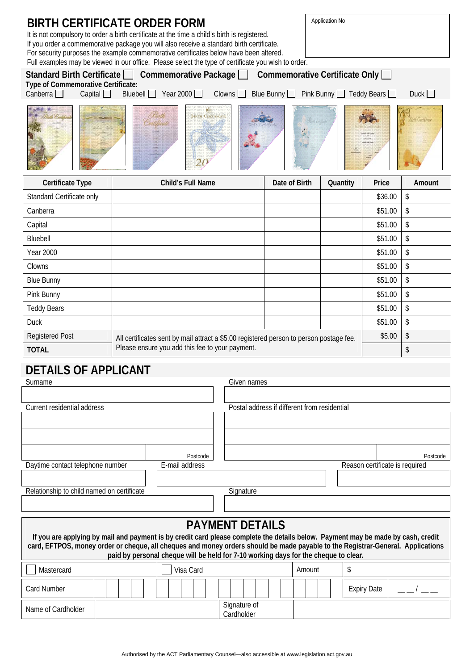| <b>BIRTH CERTIFICATE ORDER FORM</b><br>It is not compulsory to order a birth certificate at the time a child's birth is registered.<br>If you order a commemorative package you will also receive a standard birth certificate.<br>For security purposes the example commemorative certificates below have been altered.<br>Full examples may be viewed in our office. Please select the type of certificate you wish to order. |                                                                                         |               |          |         |        |
|---------------------------------------------------------------------------------------------------------------------------------------------------------------------------------------------------------------------------------------------------------------------------------------------------------------------------------------------------------------------------------------------------------------------------------|-----------------------------------------------------------------------------------------|---------------|----------|---------|--------|
| Standard Birth Certificate   Commemorative Package   Commemorative Certificate Only<br>Type of Commemorative Certificate:<br>Capital $\Box$<br>Bluebell $\Box$ Year 2000 $\Box$<br>Clowns<br>Duck<br>Canberra $\Box$<br>Blue Bunny <b>D</b> Pink Bunny <b>D</b> Teddy Bears <b>D</b>                                                                                                                                            |                                                                                         |               |          |         |        |
| <b>BIRTH CERTIFICAST</b>                                                                                                                                                                                                                                                                                                                                                                                                        |                                                                                         |               |          |         |        |
| Certificate Type                                                                                                                                                                                                                                                                                                                                                                                                                | <b>Child's Full Name</b>                                                                | Date of Birth | Quantity | Price   | Amount |
| Standard Certificate only                                                                                                                                                                                                                                                                                                                                                                                                       |                                                                                         |               |          | \$36.00 | \$     |
| Canberra                                                                                                                                                                                                                                                                                                                                                                                                                        |                                                                                         |               |          | \$51.00 | \$     |
| Capital                                                                                                                                                                                                                                                                                                                                                                                                                         |                                                                                         |               |          | \$51.00 | \$     |
| Bluebell                                                                                                                                                                                                                                                                                                                                                                                                                        |                                                                                         |               |          | \$51.00 | \$     |
| <b>Year 2000</b>                                                                                                                                                                                                                                                                                                                                                                                                                |                                                                                         |               |          | \$51.00 | \$     |
| Clowns                                                                                                                                                                                                                                                                                                                                                                                                                          |                                                                                         |               |          | \$51.00 | \$     |
| <b>Blue Bunny</b>                                                                                                                                                                                                                                                                                                                                                                                                               |                                                                                         |               |          | \$51.00 | \$     |
| Pink Bunny                                                                                                                                                                                                                                                                                                                                                                                                                      |                                                                                         |               |          | \$51.00 | \$     |
| <b>Teddy Bears</b>                                                                                                                                                                                                                                                                                                                                                                                                              |                                                                                         |               |          | \$51.00 | \$     |
| <b>Duck</b>                                                                                                                                                                                                                                                                                                                                                                                                                     |                                                                                         |               |          | \$51.00 | \$     |
| <b>Registered Post</b>                                                                                                                                                                                                                                                                                                                                                                                                          | All certificates sent by mail attract a \$5.00 registered person to person postage fee. |               |          | \$5.00  | \$     |
| <b>TOTAL</b>                                                                                                                                                                                                                                                                                                                                                                                                                    | Please ensure you add this fee to your payment.                                         |               |          |         | \$     |
| <b>DETAILS OF APPLICANT</b>                                                                                                                                                                                                                                                                                                                                                                                                     |                                                                                         |               |          |         |        |

| Surname                                                                                                                                                                                                                                                                                                                                                                              |  |                | Given names                                  |        |                                |          |
|--------------------------------------------------------------------------------------------------------------------------------------------------------------------------------------------------------------------------------------------------------------------------------------------------------------------------------------------------------------------------------------|--|----------------|----------------------------------------------|--------|--------------------------------|----------|
| Current residential address                                                                                                                                                                                                                                                                                                                                                          |  |                | Postal address if different from residential |        |                                |          |
|                                                                                                                                                                                                                                                                                                                                                                                      |  |                |                                              |        |                                |          |
|                                                                                                                                                                                                                                                                                                                                                                                      |  | Postcode       |                                              |        |                                | Postcode |
| Daytime contact telephone number                                                                                                                                                                                                                                                                                                                                                     |  | E-mail address |                                              |        | Reason certificate is required |          |
|                                                                                                                                                                                                                                                                                                                                                                                      |  |                |                                              |        |                                |          |
| Relationship to child named on certificate                                                                                                                                                                                                                                                                                                                                           |  |                | Signature                                    |        |                                |          |
|                                                                                                                                                                                                                                                                                                                                                                                      |  |                |                                              |        |                                |          |
| <b>PAYMENT DETAILS</b><br>If you are applying by mail and payment is by credit card please complete the details below. Payment may be made by cash, credit<br>card, EFTPOS, money order or cheque, all cheques and money orders should be made payable to the Registrar-General. Applications<br>paid by personal cheque will be held for 7-10 working days for the cheque to clear. |  |                |                                              |        |                                |          |
| Mastercard                                                                                                                                                                                                                                                                                                                                                                           |  | Visa Card      |                                              | Amount | \$                             |          |
| Card Number                                                                                                                                                                                                                                                                                                                                                                          |  |                |                                              |        | <b>Expiry Date</b>             |          |
| Name of Cardholder                                                                                                                                                                                                                                                                                                                                                                   |  |                | Signature of<br>Cardholder                   |        |                                |          |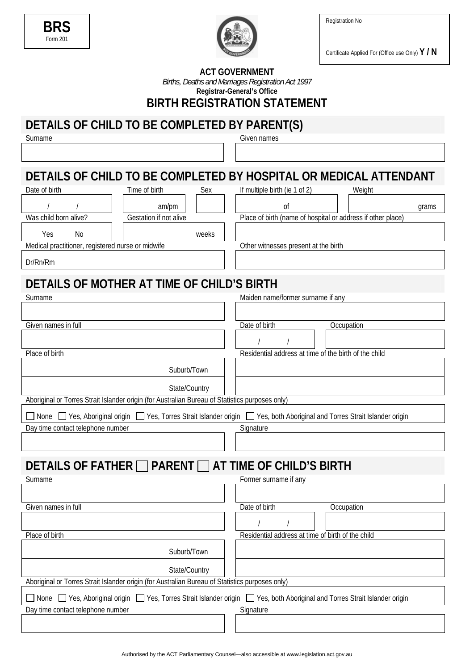Registration No





Certificate Applied For (Office use Only) **Y / N** 

### **ACT GOVERNMENT**

*Births, Deaths and Marriages Registration Act 1997* 

**Registrar-General's Office**

**BIRTH REGISTRATION STATEMENT** 

# **DETAILS OF CHILD TO BE COMPLETED BY PARENT(S)**

Surname Given names

### **DETAILS OF CHILD TO BE COMPLETED BY HOSPITAL OR MEDICAL ATTENDANT** Date of birth Time of birth Sex If multiple birth (ie 1 of 2) Weight

| <b>DAIC OF DILIT</b>                              | <b>TILLIC OF DILITE</b> | <b>JEV</b> | If HIGHLING DILIT (IC T OF Z)                               | <b>VVCIUIIL</b> |  |  |
|---------------------------------------------------|-------------------------|------------|-------------------------------------------------------------|-----------------|--|--|
|                                                   | am/pm                   |            | 0t                                                          | grams           |  |  |
| Was child born alive?                             | Gestation if not alive  |            | Place of birth (name of hospital or address if other place) |                 |  |  |
| Yes<br>No                                         |                         | weeks      |                                                             |                 |  |  |
| Medical practitioner, registered nurse or midwife |                         |            | Other witnesses present at the birth                        |                 |  |  |
| Dr/Rn/Rm                                          |                         |            |                                                             |                 |  |  |
| DETAILS OF MOTHER AT TIME OF CHILD'S BIRTH        |                         |            |                                                             |                 |  |  |
| Surname                                           |                         |            | Maiden name/former surname if any                           |                 |  |  |

| Given names in full                                                                                                           | Date of birth<br>Occupation                           |
|-------------------------------------------------------------------------------------------------------------------------------|-------------------------------------------------------|
|                                                                                                                               |                                                       |
| Place of birth                                                                                                                | Residential address at time of the birth of the child |
|                                                                                                                               |                                                       |
| Suburb/Town                                                                                                                   |                                                       |
| State/Country                                                                                                                 |                                                       |
| Aboriginal or Torres Strait Islander origin (for Australian Bureau of Statistics purposes only)                               |                                                       |
| None ■ Yes, Aboriginal origin ■ Yes, Torres Strait Islander origin ■ Yes, both Aboriginal and Torres Strait Islander origin   |                                                       |
| Day time contact telephone number                                                                                             | Signature                                             |
|                                                                                                                               |                                                       |
|                                                                                                                               |                                                       |
| DETAILS OF FATHER □ PARENT □ AT TIME OF CHILD'S BIRTH                                                                         |                                                       |
| Surname                                                                                                                       | Former surname if any                                 |
|                                                                                                                               |                                                       |
| Given names in full                                                                                                           | Date of birth<br>Occupation                           |
|                                                                                                                               |                                                       |
| Place of birth                                                                                                                | Residential address at time of birth of the child     |
| Suburb/Town                                                                                                                   |                                                       |
|                                                                                                                               |                                                       |
| State/Country                                                                                                                 |                                                       |
| Aboriginal or Torres Strait Islander origin (for Australian Bureau of Statistics purposes only)                               |                                                       |
| ] None □ Yes, Aboriginal origin □ Yes, Torres Strait Islander origin □ Yes, both Aboriginal and Torres Strait Islander origin |                                                       |
| Day time contact telephone number                                                                                             | Signature                                             |